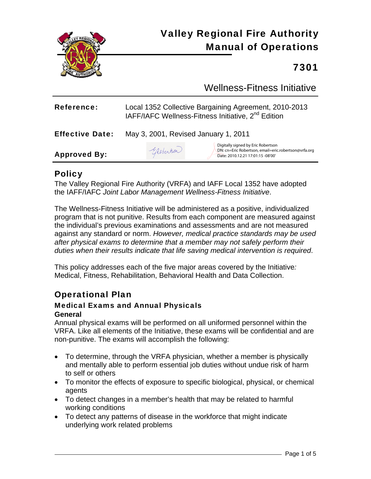

# Valley Regional Fire Authority Manual of Operations

## 7301

Wellness-Fitness Initiative

| <b>Reference:</b>      | Local 1352 Collective Bargaining Agreement, 2010-2013<br>IAFF/IAFC Wellness-Fitness Initiative, 2 <sup>nd</sup> Edition |                                                                                                                                 |
|------------------------|-------------------------------------------------------------------------------------------------------------------------|---------------------------------------------------------------------------------------------------------------------------------|
| <b>Effective Date:</b> | May 3, 2001, Revised January 1, 2011                                                                                    |                                                                                                                                 |
| <b>Approved By:</b>    | Globentson                                                                                                              | Digitally signed by Eric Robertson<br>DN: cn=Eric Robertson, email=eric.robertson@vrfa.org<br>Date: 2010.12.21 17:01:15 -08'00' |

### **Policy**

The Valley Regional Fire Authority (VRFA) and IAFF Local 1352 have adopted the IAFF/IAFC *Joint Labor Management Wellness-Fitness Initiative*.

The Wellness-Fitness Initiative will be administered as a positive, individualized program that is not punitive. Results from each component are measured against the individual's previous examinations and assessments and are not measured against any standard or norm. *However, medical practice standards may be used after physical exams to determine that a member may not safely perform their duties when their results indicate that life saving medical intervention is required*.

This policy addresses each of the five major areas covered by the Initiative*:* Medical, Fitness, Rehabilitation, Behavioral Health and Data Collection.

## Operational Plan

#### Medical Exams and Annual Physicals **General**

Annual physical exams will be performed on all uniformed personnel within the VRFA. Like all elements of the Initiative, these exams will be confidential and are non-punitive. The exams will accomplish the following:

- To determine, through the VRFA physician, whether a member is physically and mentally able to perform essential job duties without undue risk of harm to self or others
- To monitor the effects of exposure to specific biological, physical, or chemical agents
- To detect changes in a member's health that may be related to harmful working conditions
- To detect any patterns of disease in the workforce that might indicate underlying work related problems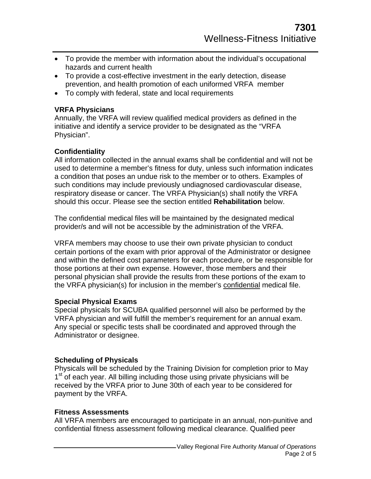- To provide the member with information about the individual's occupational hazards and current health
- To provide a cost-effective investment in the early detection, disease prevention, and health promotion of each uniformed VRFA member
- To comply with federal, state and local requirements

#### **VRFA Physicians**

Annually, the VRFA will review qualified medical providers as defined in the initiative and identify a service provider to be designated as the "VRFA Physician".

#### **Confidentiality**

All information collected in the annual exams shall be confidential and will not be used to determine a member's fitness for duty, unless such information indicates a condition that poses an undue risk to the member or to others. Examples of such conditions may include previously undiagnosed cardiovascular disease, respiratory disease or cancer. The VRFA Physician(s) shall notify the VRFA should this occur. Please see the section entitled **Rehabilitation** below.

The confidential medical files will be maintained by the designated medical provider/s and will not be accessible by the administration of the VRFA.

VRFA members may choose to use their own private physician to conduct certain portions of the exam with prior approval of the Administrator or designee and within the defined cost parameters for each procedure, or be responsible for those portions at their own expense. However, those members and their personal physician shall provide the results from these portions of the exam to the VRFA physician(s) for inclusion in the member's confidential medical file.

#### **Special Physical Exams**

Special physicals for SCUBA qualified personnel will also be performed by the VRFA physician and will fulfill the member's requirement for an annual exam. Any special or specific tests shall be coordinated and approved through the Administrator or designee.

#### **Scheduling of Physicals**

Physicals will be scheduled by the Training Division for completion prior to May 1<sup>st</sup> of each year. All billing including those using private physicians will be received by the VRFA prior to June 30th of each year to be considered for payment by the VRFA.

#### **Fitness Assessments**

All VRFA members are encouraged to participate in an annual, non-punitive and confidential fitness assessment following medical clearance. Qualified peer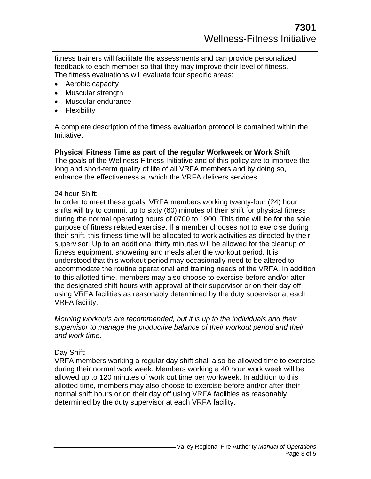fitness trainers will facilitate the assessments and can provide personalized feedback to each member so that they may improve their level of fitness. The fitness evaluations will evaluate four specific areas:

- Aerobic capacity
- Muscular strength
- Muscular endurance
- Flexibility

A complete description of the fitness evaluation protocol is contained within the Initiative.

#### **Physical Fitness Time as part of the regular Workweek or Work Shift**

The goals of the Wellness-Fitness Initiative and of this policy are to improve the long and short-term quality of life of all VRFA members and by doing so, enhance the effectiveness at which the VRFA delivers services.

#### 24 hour Shift:

In order to meet these goals, VRFA members working twenty-four (24) hour shifts will try to commit up to sixty (60) minutes of their shift for physical fitness during the normal operating hours of 0700 to 1900. This time will be for the sole purpose of fitness related exercise. If a member chooses not to exercise during their shift, this fitness time will be allocated to work activities as directed by their supervisor. Up to an additional thirty minutes will be allowed for the cleanup of fitness equipment, showering and meals after the workout period. It is understood that this workout period may occasionally need to be altered to accommodate the routine operational and training needs of the VRFA. In addition to this allotted time, members may also choose to exercise before and/or after the designated shift hours with approval of their supervisor or on their day off using VRFA facilities as reasonably determined by the duty supervisor at each VRFA facility.

*Morning workouts are recommended, but it is up to the individuals and their supervisor to manage the productive balance of their workout period and their and work time*.

#### Day Shift:

VRFA members working a regular day shift shall also be allowed time to exercise during their normal work week. Members working a 40 hour work week will be allowed up to 120 minutes of work out time per workweek. In addition to this allotted time, members may also choose to exercise before and/or after their normal shift hours or on their day off using VRFA facilities as reasonably determined by the duty supervisor at each VRFA facility.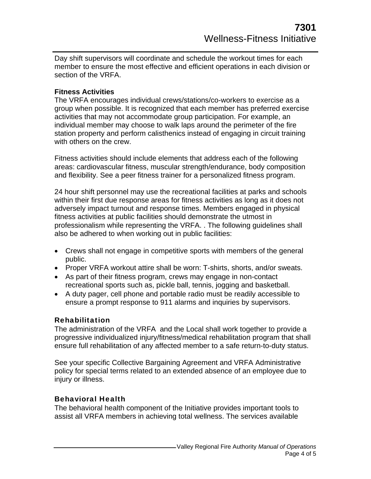Day shift supervisors will coordinate and schedule the workout times for each member to ensure the most effective and efficient operations in each division or section of the VRFA.

#### **Fitness Activities**

The VRFA encourages individual crews/stations/co-workers to exercise as a group when possible. It is recognized that each member has preferred exercise activities that may not accommodate group participation. For example, an individual member may choose to walk laps around the perimeter of the fire station property and perform calisthenics instead of engaging in circuit training with others on the crew.

Fitness activities should include elements that address each of the following areas: cardiovascular fitness, muscular strength/endurance, body composition and flexibility. See a peer fitness trainer for a personalized fitness program.

24 hour shift personnel may use the recreational facilities at parks and schools within their first due response areas for fitness activities as long as it does not adversely impact turnout and response times. Members engaged in physical fitness activities at public facilities should demonstrate the utmost in professionalism while representing the VRFA. . The following guidelines shall also be adhered to when working out in public facilities:

- Crews shall not engage in competitive sports with members of the general public.
- Proper VRFA workout attire shall be worn: T-shirts, shorts, and/or sweats.
- As part of their fitness program, crews may engage in non-contact recreational sports such as, pickle ball, tennis, jogging and basketball.
- A duty pager, cell phone and portable radio must be readily accessible to ensure a prompt response to 911 alarms and inquiries by supervisors.

#### Rehabilitation

The administration of the VRFA and the Local shall work together to provide a progressive individualized injury/fitness/medical rehabilitation program that shall ensure full rehabilitation of any affected member to a safe return-to-duty status.

See your specific Collective Bargaining Agreement and VRFA Administrative policy for special terms related to an extended absence of an employee due to injury or illness.

#### Behavioral Health

The behavioral health component of the Initiative provides important tools to assist all VRFA members in achieving total wellness. The services available